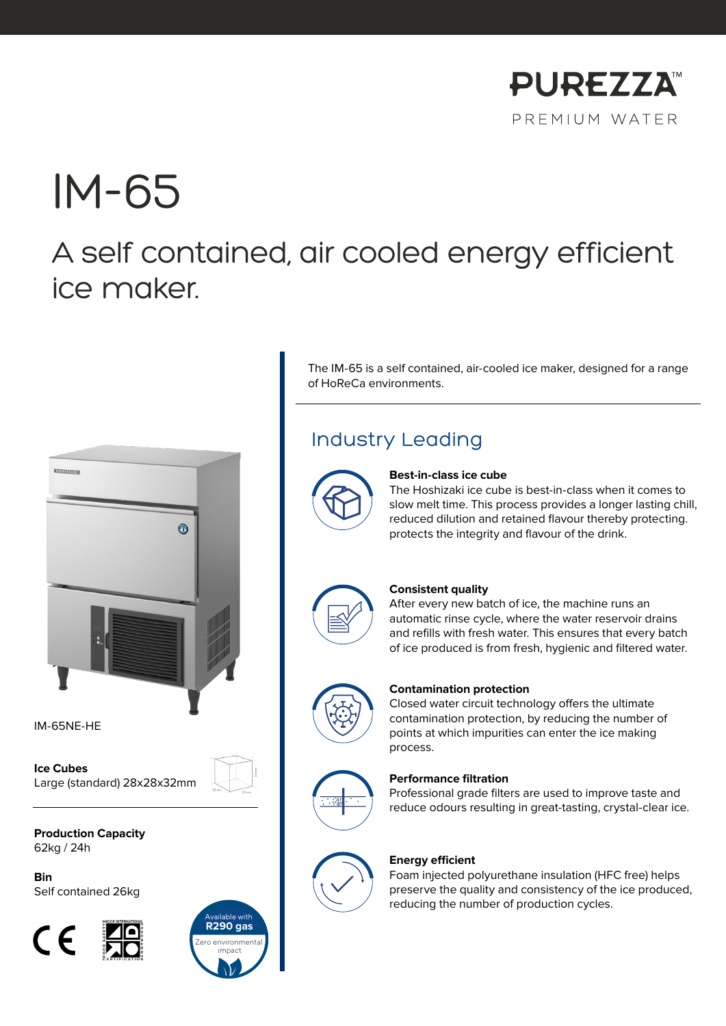

# IM-65

# A self contained, air cooled energy efficient ice maker.



IM-65NE-HE

**Ice Cubes** Large (standard) 28x28x32mm

**Production Capacity** 62kg / 24h

**Bin** Self contained 26kg





The IM-65 is a self contained, air-cooled ice maker, designed for a range of HoReCa environments.

### Industry Leading



#### **Best-in-class ice cube**

The Hoshizaki ice cube is best-in-class when it comes to slow melt time. This process provides a longer lasting chill, reduced dilution and retained flavour thereby protecting. protects the integrity and flavour of the drink.



#### **Consistent quality**

After every new batch of ice, the machine runs an automatic rinse cycle, where the water reservoir drains and refills with fresh water. This ensures that every batch of ice produced is from fresh, hygienic and filtered water.



#### **Contamination protection**

Closed water circuit technology offers the ultimate contamination protection, by reducing the number of points at which impurities can enter the ice making process.



#### **Performance filtration**

Professional grade filters are used to improve taste and reduce odours resulting in great-tasting, crystal-clear ice.



#### **Energy efficient**

Foam injected polyurethane insulation (HFC free) helps preserve the quality and consistency of the ice produced, reducing the number of production cycles.